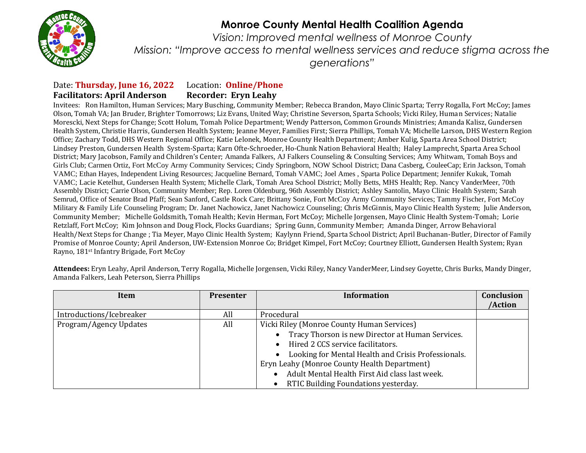

## **Monroe County Mental Health Coalition Agenda**

*Vision: Improved mental wellness of Monroe County Mission: "Improve access to mental wellness services and reduce stigma across the generations"*

## Date: **Thursday, June 16, 2022** Location: **Online/Phone Facilitators: April Anderson Recorder: Eryn Leahy**

Invitees: Ron Hamilton, Human Services; Mary Busching, Community Member; Rebecca Brandon, Mayo Clinic Sparta; Terry Rogalla, Fort McCoy; James Olson, Tomah VA; Jan Bruder, Brighter Tomorrows; Liz Evans, United Way; Christine Severson, Sparta Schools; Vicki Riley, Human Services; Natalie Morescki, Next Steps for Change; Scott Holum, Tomah Police Department; Wendy Patterson, Common Grounds Ministries; Amanda Kalisz, Gundersen Health System, Christie Harris, Gundersen Health System; Jeanne Meyer, Families First; Sierra Phillips, Tomah VA; Michelle Larson, DHS Western Region Office; Zachary Todd, DHS Western Regional Office; Katie Lelonek, Monroe County Health Department; Amber Kulig, Sparta Area School District; Lindsey Preston, Gundersen Health System-Sparta; Karn Ofte-Schroeder, Ho-Chunk Nation Behavioral Health; Haley Lamprecht, Sparta Area School District; Mary Jacobson, Family and Children's Center; Amanda Falkers, AJ Falkers Counseling & Consulting Services; Amy Whitwam, Tomah Boys and Girls Club; Carmen Ortiz, Fort McCoy Army Community Services; Cindy Springborn, NOW School District; Dana Casberg, CouleeCap; Erin Jackson, Tomah VAMC; Ethan Hayes, Independent Living Resources; Jacqueline Bernard, Tomah VAMC; Joel Ames , Sparta Police Department; Jennifer Kukuk, Tomah VAMC; Lacie Ketelhut, Gundersen Health System; Michelle Clark, Tomah Area School District; Molly Betts, MHS Health; Rep. Nancy VanderMeer, 70th Assembly District; Carrie Olson, Community Member; Rep. Loren Oldenburg, 96th Assembly District; Ashley Santolin, Mayo Clinic Health System; Sarah Semrud, Office of Senator Brad Pfaff; Sean Sanford, Castle Rock Care; Brittany Sonie, Fort McCoy Army Community Services; Tammy Fischer, Fort McCoy Military & Family Life Counseling Program; Dr. Janet Nachowicz, Janet Nachowicz Counseling; Chris McGinnis, Mayo Clinic Health System; Julie Anderson, Community Member; Michelle Goldsmith, Tomah Health; Kevin Herman, Fort McCoy; Michelle Jorgensen, Mayo Clinic Health System-Tomah; Lorie Retzlaff, Fort McCoy; Kim Johnson and Doug Flock, Flocks Guardians; Spring Gunn, Community Member; Amanda Dinger, Arrow Behavioral Health/Next Steps for Change ; Tia Meyer, Mayo Clinic Health System; Kaylynn Friend, Sparta School District; April Buchanan-Butler, Director of Family Promise of Monroe County; April Anderson, UW-Extension Monroe Co; Bridget Kimpel, Fort McCoy; Courtney Elliott, Gundersen Health System; Ryan Rayno, 181st Infantry Brigade, Fort McCoy

| Item                     | <b>Presenter</b> | Information                                                      | Conclusion<br>/Action |
|--------------------------|------------------|------------------------------------------------------------------|-----------------------|
| Introductions/Icebreaker | All              | Procedural                                                       |                       |
| Program/Agency Updates   | All              | Vicki Riley (Monroe County Human Services)                       |                       |
|                          |                  | Tracy Thorson is new Director at Human Services.                 |                       |
|                          |                  | • Hired 2 CCS service facilitators.                              |                       |
|                          |                  | Looking for Mental Health and Crisis Professionals.<br>$\bullet$ |                       |
|                          |                  | Eryn Leahy (Monroe County Health Department)                     |                       |
|                          |                  | Adult Mental Health First Aid class last week.                   |                       |
|                          |                  | RTIC Building Foundations yesterday.                             |                       |

**Attendees:** Eryn Leahy, April Anderson, Terry Rogalla, Michelle Jorgensen, Vicki Riley, Nancy VanderMeer, Lindsey Goyette, Chris Burks, Mandy Dinger, Amanda Falkers, Leah Peterson, Sierra Phillips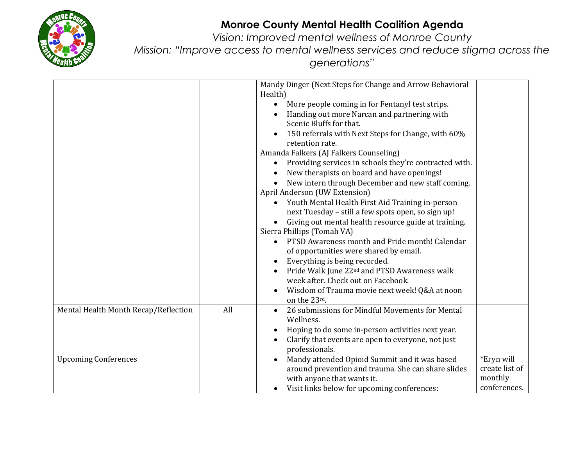

## **Monroe County Mental Health Coalition Agenda**

*Vision: Improved mental wellness of Monroe County Mission: "Improve access to mental wellness services and reduce stigma across the* 

*generations"*

|                                      |     | Mandy Dinger (Next Steps for Change and Arrow Behavioral                     |                |
|--------------------------------------|-----|------------------------------------------------------------------------------|----------------|
|                                      |     | Health)                                                                      |                |
|                                      |     | More people coming in for Fentanyl test strips.<br>$\bullet$                 |                |
|                                      |     | Handing out more Narcan and partnering with                                  |                |
|                                      |     | Scenic Bluffs for that.                                                      |                |
|                                      |     | 150 referrals with Next Steps for Change, with 60%<br>$\bullet$              |                |
|                                      |     | retention rate.                                                              |                |
|                                      |     | Amanda Falkers (AJ Falkers Counseling)                                       |                |
|                                      |     | Providing services in schools they're contracted with.<br>$\bullet$          |                |
|                                      |     | New therapists on board and have openings!<br>$\bullet$                      |                |
|                                      |     | New intern through December and new staff coming.                            |                |
|                                      |     | April Anderson (UW Extension)                                                |                |
|                                      |     | Youth Mental Health First Aid Training in-person<br>$\bullet$                |                |
|                                      |     | next Tuesday - still a few spots open, so sign up!                           |                |
|                                      |     | Giving out mental health resource guide at training.<br>$\bullet$            |                |
|                                      |     | Sierra Phillips (Tomah VA)<br>PTSD Awareness month and Pride month! Calendar |                |
|                                      |     |                                                                              |                |
|                                      |     | of opportunities were shared by email.<br>Everything is being recorded.      |                |
|                                      |     | $\bullet$<br>Pride Walk June 22 <sup>nd</sup> and PTSD Awareness walk        |                |
|                                      |     | week after. Check out on Facebook.                                           |                |
|                                      |     | Wisdom of Trauma movie next week! Q&A at noon<br>$\bullet$                   |                |
|                                      |     | on the 23rd.                                                                 |                |
| Mental Health Month Recap/Reflection | All | 26 submissions for Mindful Movements for Mental<br>$\bullet$                 |                |
|                                      |     | Wellness.                                                                    |                |
|                                      |     | Hoping to do some in-person activities next year.<br>٠                       |                |
|                                      |     | Clarify that events are open to everyone, not just<br>$\bullet$              |                |
|                                      |     | professionals.                                                               |                |
| <b>Upcoming Conferences</b>          |     | Mandy attended Opioid Summit and it was based<br>$\bullet$                   | *Eryn will     |
|                                      |     | around prevention and trauma. She can share slides                           | create list of |
|                                      |     | with anyone that wants it.                                                   | monthly        |
|                                      |     | Visit links below for upcoming conferences:<br>$\bullet$                     | conferences.   |